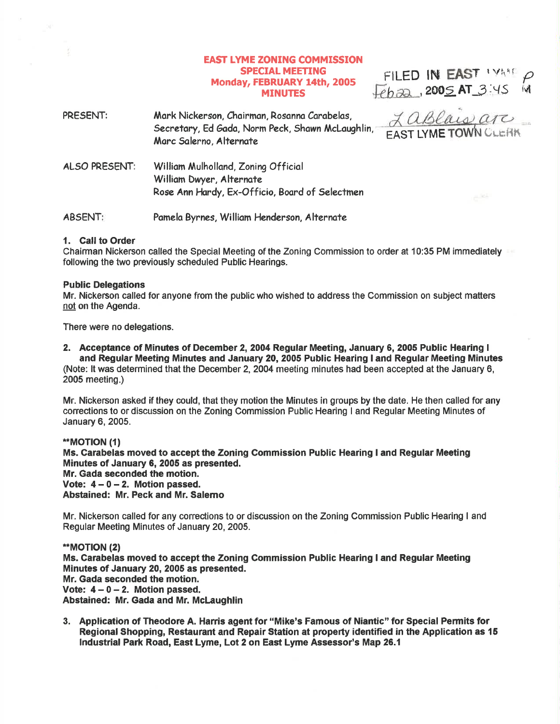# EAST IYME ZONING COMMISSION **SPECIAL MEETING** Monday, FEBRUARY 14th, 2005 **MINUTES**

FILED IN EAST IVANT  $Feha2$ , 2005 AT  $3:45$  id

| PRESENT:      | Mark Nickerson, Chairman, Rosanna Carabelas,<br>Secretary, Ed Gada, Norm Peck, Shawn McLaughlin,<br>Marc Salerno, Alternate | Lablais are<br><b>EAST LYME TOWN CLERK</b> |
|---------------|-----------------------------------------------------------------------------------------------------------------------------|--------------------------------------------|
| ALSO PRESENT: | William Mulholland, Zoning Official<br>William Dwyer, Alternate<br>Rose Ann Hardy, Ex-Officio, Board of Selectmen           |                                            |

ABSENT: Pamela Byrnes, William Henderson, Alternate

#### 1. Call to Order

Chairman Nickerson called the Special Meeting of the Zoning Gommission to order at 10:35 PM immediately following the two previously scheduled Public Hearings.

#### Public Delegations

Mr. Nickerson called for anyone from the public who wished to address the Commission on subject matters not on the Agenda.

There were no delegations.

#### 2. Acceptance of Minutes of December 2,20O4 Regular Meeting, January 6, 2005 Public Hearing <sup>I</sup> and Regular Meeting Minutes and January 20,2005 Public Hearing I and Regular Meeting Minutes (Note: lt was determined that the December 2,2004 meeting minutes had been accepted at the January 6, 2005 meeting.)

Mr. Nickerson asked if they could, that they motion the Minutes in groups by the date. He then called for any conections to or discussion on the Zoning Commission Public Hearing I and Regular Meeting Minutes of January 6, 2005.

# \*\*MOT|ON (1) Ms. Carabelas moved to accept the Zoning Commission Public Hearing I and Regular Meeting Minutes of January 6, 2005 as presented. Mr. Gada seconded the motion. Vote:  $4 - 0 - 2$ . Motion passed. Abstained: Mr. Peck and Mr. Salemo

Mr. Nickerson called for any corections to or discussion on the Zoning Commission Public Hearing I and Regular Meeting Minutes of January 20,2005.

\*MOTION (2) Ms. Garabelas moved to accept the Zoning Commission Public Hearing I and Regular Meeting Minutes of January 20, 2006 as presented. Mr. Gada seconded the motion. Vote:  $4 - 0 - 2$ . Motion passed. Abstained: Mr. Gada and Mr. Mclaughlin

3. Application of Theodore A. Harris agent for "Mike's Famous of Niantic" for Special Permits for Regional Shopping, Restaurant and Repair Station at property identified in the Application as 15 lndustrial Park Road, East Lyme, Lot 2 on East Lyme Assessor's Map 26.1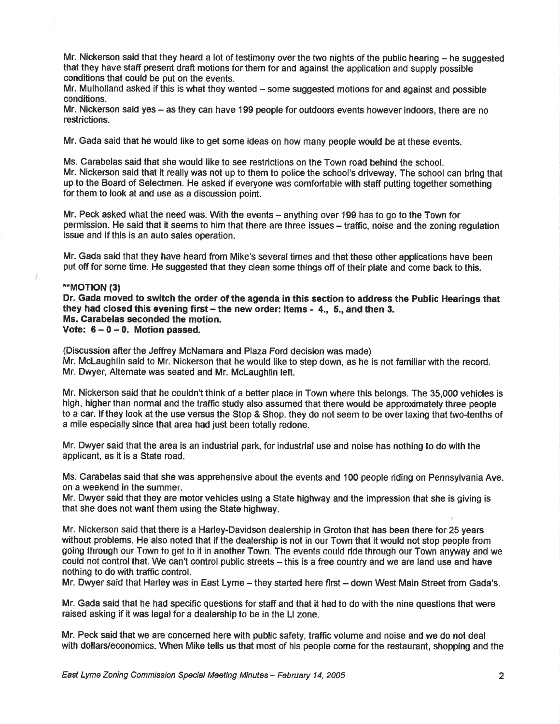Mr. Nickerson said that they heard a lot of testimony over the two nights of the public hearing – he suggested that they have staff present draft motions forthem for and against the application and supply possible conditions that could be put on the events.

Mr. Mulholland asked if this is what they wanted - some suggested motions for and against and possible conditions.

Mr. Nickerson said yes – as they can have 199 people for outdoors events however indoors, there are no restrictions.

Mr. Gada said that he would like to get some ideas on how many people would be at these events.

Ms. Carabelas said that she would like to see restrictions on the Town road behind the school. Mr. Nickerson said that it really was not up to them to police the school's driveway. The school can bring that up to the Board of Selectmen. He asked if everyone was comfortable with staff putting together something forthem to look at and use as a discussion point.

Mr. Peck asked what the need was. With the events – anything over 199 has to go to the Town for permission. He said that it seems to him that there are three issues – traffic, noise and the zoning regulation issue and if this is an auto sales operation.

Mr. Gada said that they have heard from Mike's several times and that these other applications have been put off for some time. He suggested that they clean some things off of their plate and come back to this.

# \*\*MOT|ON (3)

Dr. Gada moved to switch the order of the agenda in this section to address the Public Hearings that they had closed this evening first  $-$  the new order: Items  $-$  4.  $-$  5., and then 3. Ms. Carabelas seconded the motion. Vote:  $6-0-0$ . Motion passed.

(Discussion afterthe Jeffrey McNamara and Plaza Ford decision was made) Mr. McLaughlin said to Mr. Nickerson that he would like to step down, as he is not familiar with the record. Mr. Dwyer, Alternate was seated and Mr. McLaughlin left.

Mr. Nickerson said that he couldn't think of a befter place in Town where this belongs. The 35,000 vehicles is high, higher than normal and the traffic study also assumed that there would be approximately three people to a car. lf they look at the use versus the Stop & Shop, they do not seem to be over taxing that two-tenths of a mile especially since that area had just been totally redone.

Mr. Dwyer said that the area is an industrial park, for industrial use and noise has nothing to do with the applicant, as it is a State road.

Ms. Carabelas said that she was apprehensive about the events and 100 people riding on Pennsylvania Ave. on a weekend in the summer.

Mr. Dwyer said that they are motor vehicles using a State highway and the impression that she is giving is that she does not want them using the State highway.

Mr. Nickerson said that there is a Harley-Davidson dealership in Groton that has been there for 25 years without problems. He also noted that if the dealership is not in our Town that it would not stop people from going through our Town to get to it in another Town. The events could ride through our Town anyway and we could not control that. We can't control public streets - this is a free country and we are land use and have nothing to do with traffic control.

Mr. Dwyer said that Harley was in East Lyme - they started here first - down West Main Street from Gada's.

Mr. Gada said that he had specific questions for staff and that it had to do with the nine questions that were raised asking if it was legal for a dealership to be in the Ll zone.

Mr. Peck said that we are concemed here with public safety, traffic volume and noise and we do not deal with dollars/economics. When Mike tells us that most of his people come forthe restaurant, shopping and the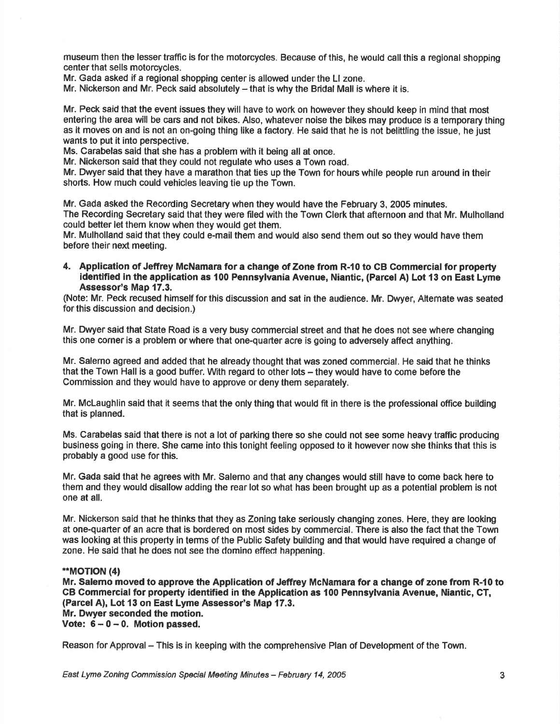museum then the lesser traffic is for the motorcycles. Because of this, he would call this a regional shopping center that sells motorcycles.

Mr. Gada asked if a regional shopping center is allowed under the Ll zone.

Mr. Nickerson and Mr. Peck said absolutely - that is why the Bridal Mall is where it is.

Mr. Peck said that the event issues they will have to work on however they should keep in mind that most entering the area will be cars and not bikes. Also, whatever noise the bikes may produce is a temporary thing as lt moves on and is not an on-going thing like a factory. He said that he is not belittling the issue, he just wants to put it into perspective.

Ms. Carabelas said that she has a problem with it being all at once.

Mr. Nickerson said that they could not regulate who uses a Town road.

Mr. Dwyer said that they have a marathon that ties up the Town for hours while people run around in their shorts. How much could vehicles leaving tie up the Town.

Mr. Gada asked the Recording Secretary when they would have the February 3, 2005 minutes. The Recording Secretary said that they were filed with the Town Clerk that afternoon and that Mr. Mulholland could better let them know when they would get them.

Mr. Mulholland said that they could e-mail them and would also send them out so they would have them before their next meeting.

4. Application of Jeffrey McNamara for a change of Zone from R-10 to CB Commercial for property identified in the application as 100 Pennsylvania Avenue, Niantic, (Parcel A) Lot 13 on East Lyme Assessor's Map 17.3.

(Note: Mr. Peck recused himself for this discussion and sat in the audience. Mr. Dwyer, Attemate was seated for this discussion and decision.)

Mr. Dwyer said that State Road is a very busy commercial street and that he does not see where changing this one corner is a problem or where that one-quarter acre is going to adversely affect anything.

Mr. Salerno agreed and added that he already thought that was zoned commercial. He said that he thinks that the Town Hall is a good buffer. With regard to other lots – they would have to come before the Commission and they would have to approve or deny them separately.

Mr. Mclaughlin said that it seems that the only thing that would fit in there is the professional office building that is planned.

Ms. Carabelas said that there is not a lot of parking there so she could not see some heavy traffic producing business going in there. She came into this tonight feeling opposed to it however now she thinks that this is probably a good use for this.

Mr. Gada said that he agrees wlth Mr. Salemo and that any changes would still have to come back here to them and they would disallow adding the rear lot so what has been brought up as a potential problem is not one at all.

Mr. Nickerson said that he thinks that they as Zoning take seriously changing zones. Here, they are looking at one-quarter of an acre that is bordered on most sides by commercial. There is also the fact that the Town was looking at this property in terms of the Public Safety building and that would have required a change of zone. He said that he does not see the domino effect happening.

# \*\*MOT!ON (4)

Mr. Salemo moved to approve the Application of Jeffrey McNamara for a change of zone from R-10 to CB Gommercial for property identified in the Application as 100 Pennsylvania Avenue, Niantic, GT, (Parcel A), Lot 13 on East Lyme Assessor's Map 17.3. Mr. Dwyer seconded the motion.

Vote:  $6 - 0 - 0$ . Motion passed.

Reason for Approval – This is in keeping with the comprehensive Plan of Development of the Town.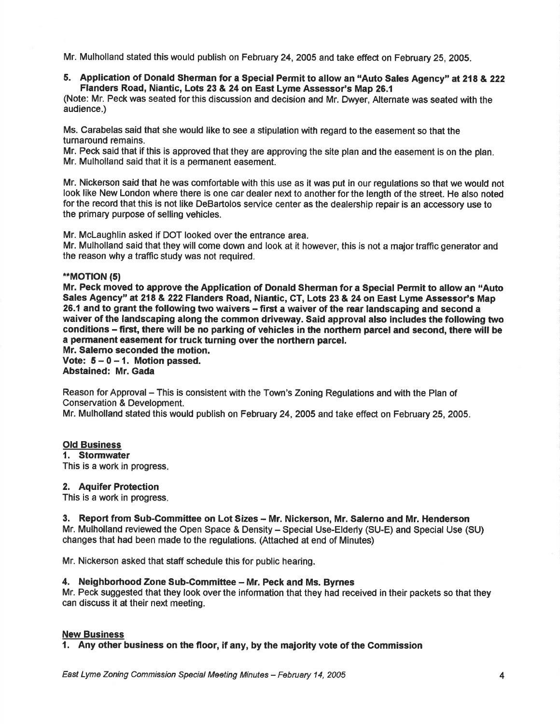Mr. Mulholland stated this would publish on February 24, 2005 and take effect on February 25, 2005.

5. Application of Donald Sherman for a Special Permit to allow an "Auto Sales Agency" at 218 & 222 Flanders Road, Niantic, Lots 23 & 24 on East Lyme Assessor's Map 26.1

(Note: Mr. Peck was seated for this discussion and decision and Mr. Dwyer, Alternate was seated with the audience.)

Ms. Carabelas said that she would like to see a stipulation with regard to the easement so that the turnaround remains.

Mr. Peck said that if this is approved that they are approving the site plan and the easement is on the plan. Mr. Mulholland said that it is a permanent easement.

Mr. Nickerson said that he was comfortable with this use as it was put in our regulations so that we would not look like New London where there is one car dealer next to another for the length of the street. He also noted for the record that this is not like DeBartolos service center as the dealership repair is an accessory use to the primary purpose of selling vehicles.

Mr. McLaughlin asked if DOT looked over the entrance area.

Mr. Mulholland said that they will come down and look at it however, this is not a major traffic generator and the reason why a traffic study was not required.

#### \*\*MOT|ON (5)

Mr. Peck moved to approve the Application of Donald Sherman for a Special Permit to allow an "Auto Sales Agency" at 218 & 222 Flanders Road, Niantic, CT, Lots 23 & 24 on East Lyme Assessor's Map 26.1 and to grant the following two waivers - first a waiver of the rear landscaping and second a waiver of the landscaping along the common driveway. Said approval also includes the following two conditions - first, there will be no parking of vehicles in the northem parcel and second, there will be a permanent easement for truck turning over the northern parcel.

Mr. Salemo seconded the motion. Vote:  $5 - 0 - 1$ . Motion passed.

Abstained: Mr. Gada

Reason for Approval - This is consistent with the Town's Zoning Regulations and with the Plan of Conservation & Development.

Mr. Mulholland stated this would publish on February 24, 2005 and take effect on February 25,2005.

# Old Business

1. Stormwater This is a work in progress

#### 2. Aquifer Protection

This is a work in progress

# 3. Report from Sub-Committee on Lot Sizes - Mr. Nickerson, Mr. Salerno and Mr. Henderson

Mr. Mulholland reviewed the Open Space & Density - Special Use-Elderly (SU-E) and Special Use (SU) changes that had been made to the regulations. (Attached at end of Minutes)

Mr. Nickerson asked that staff schedule this for public hearing.

# 4. Neighborhood Zone Sub-Committee - Mr. Peck and Ms. Byrnes

Mr. Peck suggested that they look over the information that they had received in their packets so that they can discuss it at their next meeting.

# New Business

1. Any other business on the floor, if any, by the maiority vote of the Commission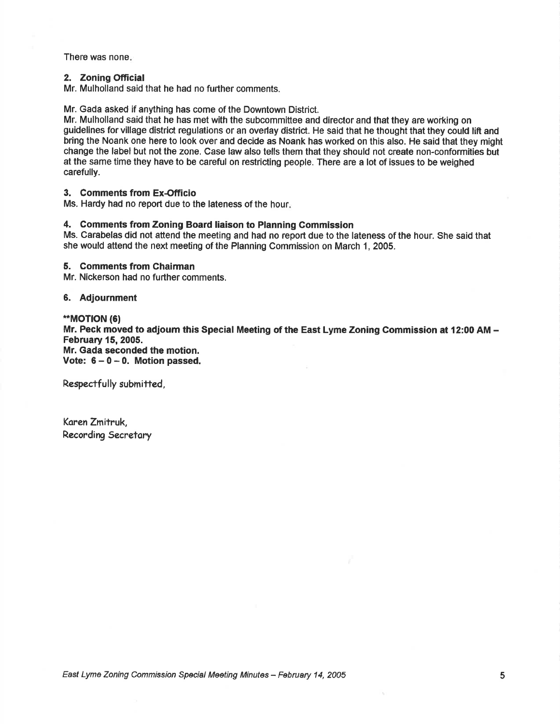There was none

#### 2. Zoning Official

Mr. Mulholland said that he had no further comments.

Mr. Gada asked if anything has come of the Downtown District.

Mr. Mulholland said that he has met with the subcommittee and director and that they are working on guidelines for village district regulations or an overlay district. He said that he thought that they could lift and bring the Noank one here to look over and decide as Noank has worked on this also. He said that they might change the label but not the zone. Case law also tells them that they should not create non-conformities but at the same time they have to be careful on restricting people. There are a lot of issues to be weighed carefully.

#### 3. Comments from Ex-Officio

Ms. Hardy had no report due to the lateness of the hour

#### 4, Gomments from Zoning Board liaison to Planning Commission

Ms. Carabelas did not attend the meeting and had no report due to the lateness of the hour. She said that she would attend the next meeting of the Planning Commission on March 1, 2005.

# 5. Gomments from Chairman

Mr. Nickerson had no further comments.

#### 6. Adjournment

\*MOT|ON (6) Mr. Peck moved to adjoum this Special Meeting of the East Lyme Zoning Commission at 12:00 AM - February 15,2005. Mr. Gada seconded the motion. Vote:  $6 - 0 - 0$ . Motion passed.

Respectfully submitted,

Karen Zmitruk, Recording Secretary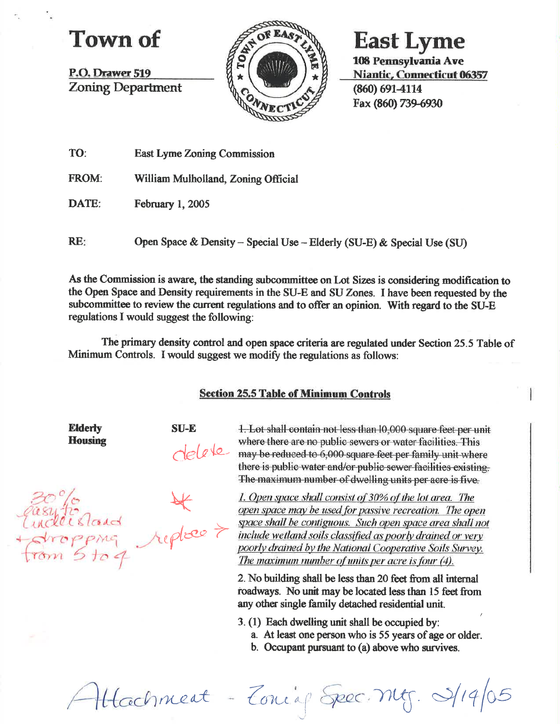# Town of

P.O. Drawer 519 **Zoning Department** 



**East Lyme** 

108 Pennsylvania Ave Niantic, Connecticut 06357 (860) 691-4114 Fax (860) 739-6930

| TO: |  | <b>East Lyme Zoning Commission</b> |
|-----|--|------------------------------------|
|     |  |                                    |

FROM: William Mulholland, Zoning Official

DATE: February 1, 2005

RE: Open Space & Density - Special Use - Elderly (SU-E) & Special Use (SU)

As the Commission is aware, the standing subcommittee on Lot Sizes is considering modification to the Open Space and Density requirements in the SU-E and SU Zones. I have been requested by the subcommittee to review the current regulations and to offer an opinion. With regard to the SU-E regulations I would suggest the following:

The primary density control and open space criteria are regulated under Section 25.5 Table of Minimum Controls. I would suggest we modify the regulations as follows:

# **Section 25.5 Table of Minimum Controls**

**Elderly Housing** 

**SU-E** 

1. Lot shall contain not less than 10,000 square feet per unit where there are no public sewers or water facilities. This telete may be reduced to 6,000 square feet per family unit where there is public water and/or public sewer facilities existing. The maximum number of dwelling units per acre is five.

Tasy to grand replace > fropping<br>from 5 to 4

1. Open space shall consist of 30% of the lot area. The open space may be used for passive recreation. The open space shall be contiguous. Such open space area shall not include wetland soils classified as poorly drained or very poorly drained by the National Cooperative Soils Survey. The maximum number of units per acre is four (4).

2. No building shall be less than 20 feet from all internal roadways. No unit may be located less than 15 feet from any other single family detached residential unit.

3. (1) Each dwelling unit shall be occupied by:

- a. At least one person who is 55 years of age or older.
- b. Occupant pursuant to (a) above who survives.

Attachment - Zonig Spec. Mg. 9/19/05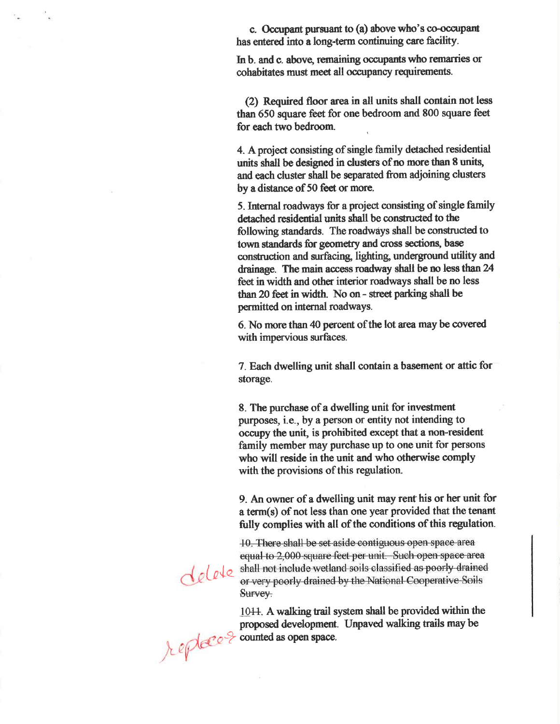c. Occupant pursuant to (a) above who's co-occupant has entered into a long-term continuing care facility.

In b. and c. above, remaining occupants who remarries or cohabitates must meet all occupancy requirements.

(2) Required floor area in all units shall contain not less than 650 square feet for one bedroom and 800 square feet for each two bedroom.

4. A project consisting of single family detached residential units shall be designed in clusters of no more than 8 units, and each cluster shall be separated from adjoining clusters by a distance of 50 feet or more.

5. Internal roadways for a project consisting of single family detached residential units shall be constructed to the following standards. The roadways shall be constructed to town standards for geometry and cross sections, base construction and surfacing, lighting, underground utility and drainage. The main access roadway shall be no less than 24 feet in width and other interior roadways shall be no less than 20 feet in width. No on - street parking shall be permitted on internal roadways.

6. No more than 40 percent of the lot area may be covered with impervious surfaces.

7. Each dwelling unit shall contain a basement or attic for storage.

8. The purchase of a dwelling unit for investment purposes, i.e., by a person or entity not intending to occupy the unit, is prohibited except that a non-resident family member may purchase up to one unit for persons who will reside in the unit and who otherwise comply with the provisions of this regulation.

9. An owner of a dwelling unit may rent his or her unit for a term(s) of not less than one year provided that the tenant fully complies with all of the conditions of this regulation.

10. There shall be set aside contiguous open space area equal to 2,000 square feet per unit. Such open space area shall not include wetland soils classified as poorly drained or very poorly drained by the National Cooperative Soils Survey.

1044. A walking trail system shall be provided within the proposed development. Unpaved walking trails may be

telete

proposed development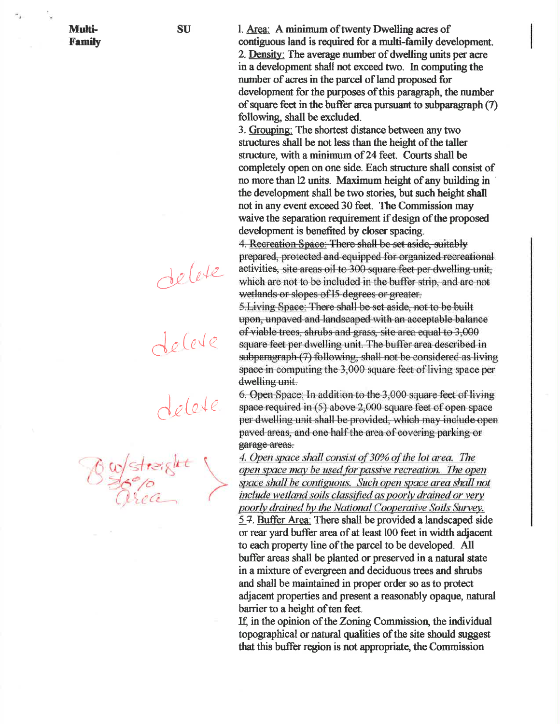**Multi-Family**  1. Area: A minimum of twenty Dwelling acres of contiguous land is required for a multi-family development. 2. Density: The average number of dwelling units per acre in a development shall not exceed two. In computing the number of acres in the parcel of land proposed for development for the purposes of this paragraph, the number of square feet in the buffer area pursuant to subparagraph (7) following, shall be excluded.

3. Grouping: The shortest distance between any two structures shall be not less than the height of the taller structure, with a minimum of 24 feet. Courts shall be completely open on one side. Each structure shall consist of no more than 12 units. Maximum height of any building in the development shall be two stories, but such height shall not in any event exceed 30 feet. The Commission may waive the separation requirement if design of the proposed development is benefited by closer spacing.

4. Recreation Space: There shall be set aside, suitably prepared, protected and equipped for organized recreational activities, site areas oil to 300 square feet per dwelling unit, which are not to be included in the buffer strip, and are not wetlands or slopes of 15 degrees or greater.

5. Living Space: There shall be set aside, not to be built upon, unpaved and landscaped with an acceptable balance of viable trees, shrubs and grass, site area equal to 3,000 square feet per dwelling unit. The buffer area described in subparagraph (7) following, shall not be considered as living space in computing the 3,000 square feet of living space per dwelling unit.

6. Open Space: In addition to the 3,000 square feet of living space required in (5) above 2,000 square feet of open space per dwelling unit shall be provided, which may include open paved areas, and one half the area of covering parking or garage areas.

4. Open space shall consist of 30% of the lot area. The open space may be used for passive recreation. The open space shall be contiguous. Such open space area shall not include wetland soils classified as poorly drained or very poorly drained by the National Cooperative Soils Survey. 5.7. Buffer Area: There shall be provided a landscaped side or rear yard buffer area of at least 100 feet in width adjacent to each property line of the parcel to be developed. All buffer areas shall be planted or preserved in a natural state in a mixture of evergreen and deciduous trees and shrubs and shall be maintained in proper order so as to protect adjacent properties and present a reasonably opaque, natural barrier to a height of ten feet.

If, in the opinion of the Zoning Commission, the individual topographical or natural qualities of the site should suggest that this buffer region is not appropriate, the Commission

 $belete$ 

Le Certe

delete

Bulstreight